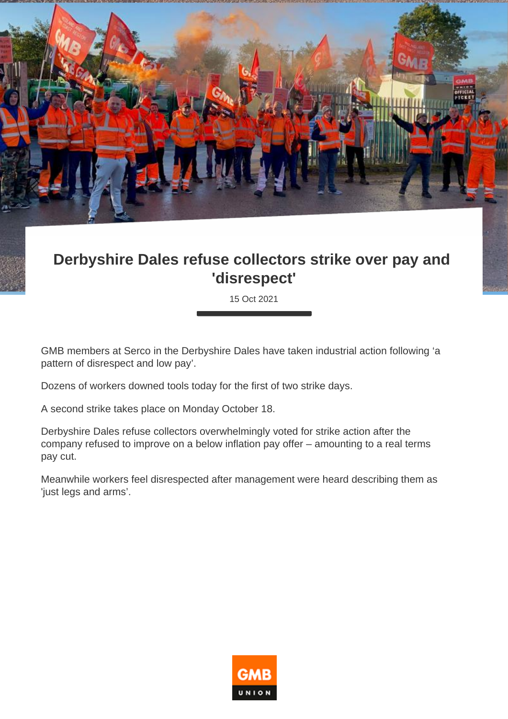

## **Derbyshire Dales refuse collectors strike over pay and 'disrespect'**

15 Oct 2021

GMB members at Serco in the Derbyshire Dales have taken industrial action following 'a pattern of disrespect and low pay'.

Dozens of workers downed tools today for the first of two strike days.

A second strike takes place on Monday October 18.

Derbyshire Dales refuse collectors overwhelmingly voted for strike action after the company refused to improve on a below inflation pay offer – amounting to a real terms pay cut.

Meanwhile workers feel disrespected after management were heard describing them as 'just legs and arms'.

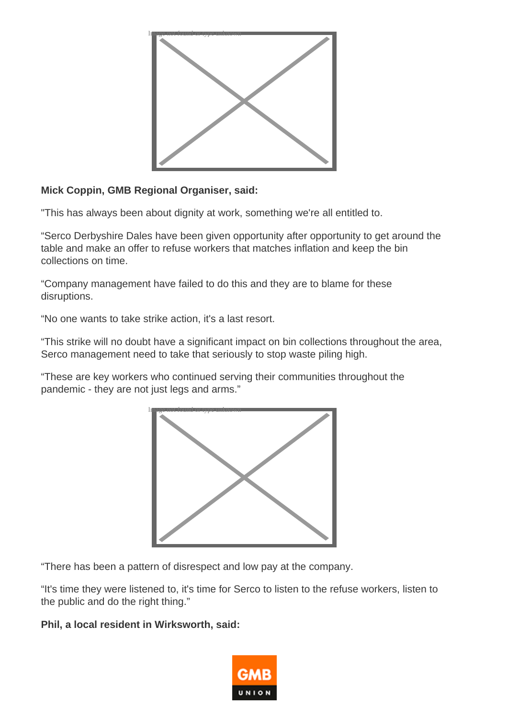

## **Mick Coppin, GMB Regional Organiser, said:**

"This has always been about dignity at work, something we're all entitled to.

"Serco Derbyshire Dales have been given opportunity after opportunity to get around the table and make an offer to refuse workers that matches inflation and keep the bin collections on time.

"Company management have failed to do this and they are to blame for these disruptions.

"No one wants to take strike action, it's a last resort.

"This strike will no doubt have a significant impact on bin collections throughout the area, Serco management need to take that seriously to stop waste piling high.

"These are key workers who continued serving their communities throughout the pandemic - they are not just legs and arms."



"There has been a pattern of disrespect and low pay at the company.

"It's time they were listened to, it's time for Serco to listen to the refuse workers, listen to the public and do the right thing."

## **Phil, a local resident in Wirksworth, said:**